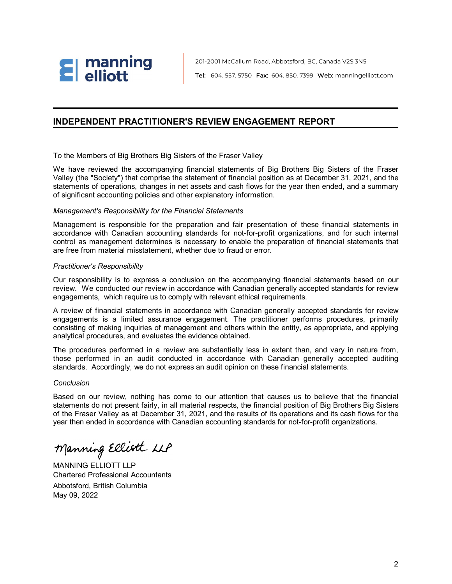

201-2001 McCallum Road, Abbotsford, BC, Canada V2S 3N5 Tel: 604. 557. 5750 Fax: 604. 850. 7399 Web: manningelliott.com

## **INDEPENDENT PRACTITIONER'S REVIEW ENGAGEMENT REPORT**

To the Members of Big Brothers Big Sisters of the Fraser Valley

We have reviewed the accompanying financial statements of Big Brothers Big Sisters of the Fraser Valley (the "Society") that comprise the statement of financial position as at December 31, 2021, and the statements of operations, changes in net assets and cash flows for the year then ended, and a summary of significant accounting policies and other explanatory information.

## *Management's Responsibility for the Financial Statements*

Management is responsible for the preparation and fair presentation of these financial statements in accordance with Canadian accounting standards for not-for-profit organizations, and for such internal control as management determines is necessary to enable the preparation of financial statements that are free from material misstatement, whether due to fraud or error.

### *Practitioner's Responsibility*

Our responsibility is to express a conclusion on the accompanying financial statements based on our review. We conducted our review in accordance with Canadian generally accepted standards for review engagements, which require us to comply with relevant ethical requirements.

A review of financial statements in accordance with Canadian generally accepted standards for review engagements is a limited assurance engagement. The practitioner performs procedures, primarily consisting of making inquiries of management and others within the entity, as appropriate, and applying analytical procedures, and evaluates the evidence obtained.

The procedures performed in a review are substantially less in extent than, and vary in nature from, those performed in an audit conducted in accordance with Canadian generally accepted auditing standards. Accordingly, we do not express an audit opinion on these financial statements.

### *Conclusion*

Based on our review, nothing has come to our attention that causes us to believe that the financial statements do not present fairly, in all material respects, the financial position of Big Brothers Big Sisters of the Fraser Valley as at December 31, 2021, and the results of its operations and its cash flows for the year then ended in accordance with Canadian accounting standards for not-for-profit organizations.

Manning Elliott LLP

MANNING ELLIOTT LLP Chartered Professional Accountants Abbotsford, British Columbia May 09, 2022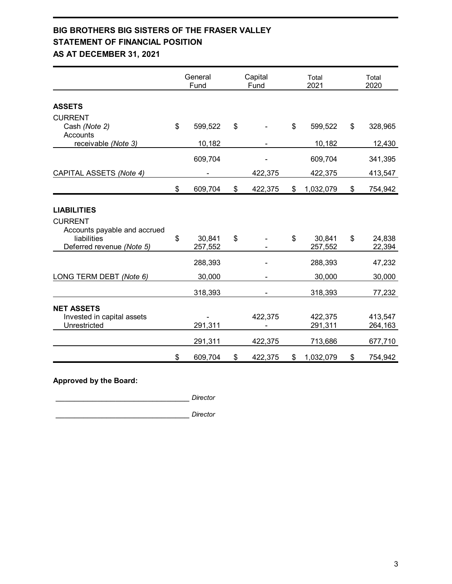## **BIG BROTHERS BIG SISTERS OF THE FRASER VALLEY STATEMENT OF FINANCIAL POSITION AS AT DECEMBER 31, 2021**

|                              | General<br>Fund | Capital<br>Fund | Total<br>2021   | Total<br>2020 |
|------------------------------|-----------------|-----------------|-----------------|---------------|
|                              |                 |                 |                 |               |
| <b>ASSETS</b>                |                 |                 |                 |               |
| <b>CURRENT</b>               |                 |                 |                 |               |
| Cash (Note 2)                | \$<br>599,522   | \$              | \$<br>599,522   | \$<br>328,965 |
| Accounts                     |                 |                 |                 |               |
| receivable (Note 3)          | 10,182          |                 | 10,182          | 12,430        |
|                              | 609,704         |                 | 609,704         | 341,395       |
| CAPITAL ASSETS (Note 4)      |                 | 422,375         | 422,375         | 413,547       |
|                              | \$<br>609,704   | \$<br>422,375   | \$<br>1,032,079 | \$<br>754,942 |
|                              |                 |                 |                 |               |
| <b>LIABILITIES</b>           |                 |                 |                 |               |
| <b>CURRENT</b>               |                 |                 |                 |               |
| Accounts payable and accrued |                 |                 |                 |               |
| liabilities                  | \$<br>30,841    | \$              | \$<br>30,841    | \$<br>24,838  |
| Deferred revenue (Note 5)    | 257,552         |                 | 257,552         | 22,394        |
|                              | 288,393         |                 | 288,393         | 47,232        |
| LONG TERM DEBT (Note 6)      | 30,000          |                 | 30,000          | 30,000        |
|                              |                 |                 |                 |               |
|                              | 318,393         |                 | 318,393         | 77,232        |
| <b>NET ASSETS</b>            |                 |                 |                 |               |
| Invested in capital assets   |                 | 422,375         | 422,375         | 413,547       |
| Unrestricted                 | 291,311         |                 | 291,311         | 264,163       |
|                              |                 |                 |                 |               |
|                              | 291,311         | 422,375         | 713,686         | 677,710       |
|                              | \$<br>609,704   | \$<br>422,375   | \$<br>1,032,079 | \$<br>754,942 |

## **Approved by the Board:**

\_\_\_\_\_\_\_\_\_\_\_\_\_\_\_\_\_\_\_\_\_\_\_\_\_\_\_\_\_ *Director* \_\_\_\_\_\_\_\_\_\_\_\_\_\_\_\_\_\_\_\_\_\_\_\_\_\_\_\_\_ *Director*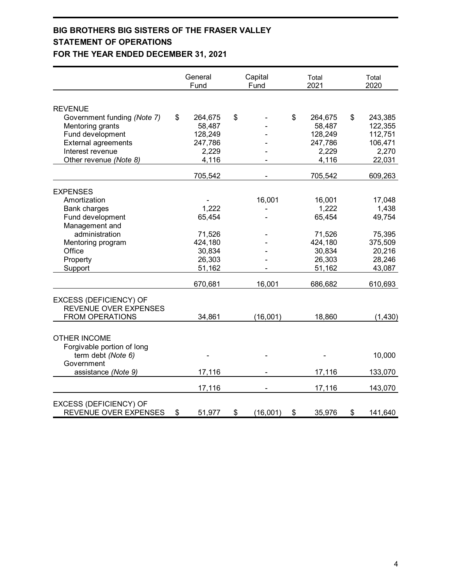## **BIG BROTHERS BIG SISTERS OF THE FRASER VALLEY STATEMENT OF OPERATIONS FOR THE YEAR ENDED DECEMBER 31, 2021**

|                               | General<br>Fund | Capital<br>Fund | Total<br>2021 | Total<br>2020 |
|-------------------------------|-----------------|-----------------|---------------|---------------|
|                               |                 |                 |               |               |
| <b>REVENUE</b>                |                 |                 |               |               |
| Government funding (Note 7)   | \$<br>264,675   | \$              | \$<br>264,675 | \$<br>243,385 |
| Mentoring grants              | 58,487          |                 | 58,487        | 122,355       |
| Fund development              | 128,249         |                 | 128,249       | 112,751       |
| <b>External agreements</b>    | 247,786         |                 | 247,786       | 106,471       |
| Interest revenue              | 2,229           |                 | 2,229         | 2,270         |
| Other revenue (Note 8)        | 4,116           |                 | 4,116         | 22,031        |
|                               | 705,542         |                 | 705,542       | 609,263       |
| <b>EXPENSES</b>               |                 |                 |               |               |
| Amortization                  |                 | 16,001          | 16,001        | 17,048        |
| <b>Bank charges</b>           | 1,222           |                 | 1,222         | 1,438         |
| Fund development              | 65,454          |                 | 65,454        | 49,754        |
| Management and                |                 |                 |               |               |
| administration                | 71,526          |                 | 71,526        | 75,395        |
| Mentoring program             | 424,180         |                 | 424,180       | 375,509       |
| Office                        | 30,834          |                 | 30,834        | 20,216        |
| Property                      | 26,303          |                 | 26,303        | 28,246        |
| Support                       | 51,162          |                 | 51,162        | 43,087        |
|                               | 670,681         | 16,001          | 686,682       | 610,693       |
|                               |                 |                 |               |               |
| <b>EXCESS (DEFICIENCY) OF</b> |                 |                 |               |               |
| REVENUE OVER EXPENSES         |                 |                 |               |               |
| <b>FROM OPERATIONS</b>        | 34,861          | (16,001)        | 18,860        | (1,430)       |
| <b>OTHER INCOME</b>           |                 |                 |               |               |
| Forgivable portion of long    |                 |                 |               |               |
| term debt (Note 6)            |                 |                 |               | 10,000        |
| Government                    |                 |                 |               |               |
| assistance (Note 9)           | 17,116          |                 | 17,116        | 133,070       |
|                               |                 |                 |               |               |
|                               | 17,116          |                 | 17,116        | 143,070       |
| EXCESS (DEFICIENCY) OF        |                 |                 |               |               |
| REVENUE OVER EXPENSES         | \$<br>51,977    | \$<br>(16,001)  | \$<br>35,976  | \$<br>141,640 |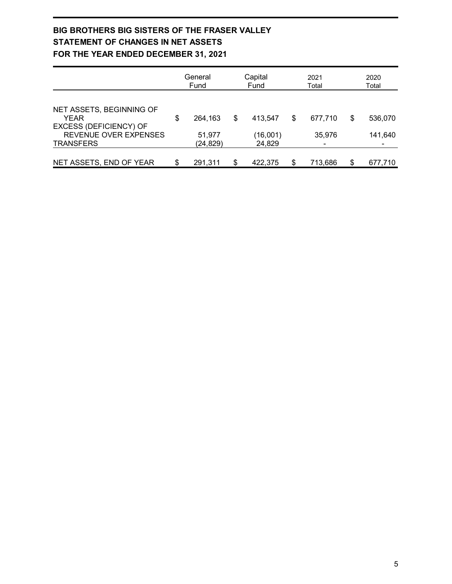## **BIG BROTHERS BIG SISTERS OF THE FRASER VALLEY STATEMENT OF CHANGES IN NET ASSETS FOR THE YEAR ENDED DECEMBER 31, 2021**

|                                                                          | General<br>Fund     | Capital<br>Fund    | 2021<br>Total |         | 2020<br>Total |  |
|--------------------------------------------------------------------------|---------------------|--------------------|---------------|---------|---------------|--|
|                                                                          |                     |                    |               |         |               |  |
| NET ASSETS, BEGINNING OF<br><b>YEAR</b><br><b>EXCESS (DEFICIENCY) OF</b> | \$<br>264,163       | \$<br>413.547      | \$            | 677,710 | \$<br>536,070 |  |
| REVENUE OVER EXPENSES<br><b>TRANSFERS</b>                                | 51,977<br>(24, 829) | (16,001)<br>24,829 |               | 35,976  | 141,640       |  |
| NET ASSETS, END OF YEAR                                                  | \$<br>291.311       | \$<br>422.375      | \$            | 713,686 | 677,710       |  |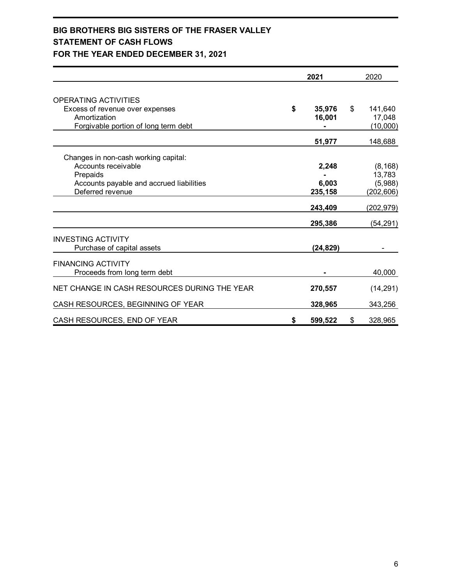## **BIG BROTHERS BIG SISTERS OF THE FRASER VALLEY STATEMENT OF CASH FLOWS FOR THE YEAR ENDED DECEMBER 31, 2021**

|                                              | 2021                                                                                                                  | 2020          |
|----------------------------------------------|-----------------------------------------------------------------------------------------------------------------------|---------------|
| <b>OPERATING ACTIVITIES</b>                  |                                                                                                                       |               |
| Excess of revenue over expenses              |                                                                                                                       | \$<br>141,640 |
| Amortization                                 |                                                                                                                       | 17,048        |
| Forgivable portion of long term debt         | \$<br>35,976<br>16,001<br>51,977<br>2,248<br>6,003<br>235,158<br>243,409<br>295,386<br>(24,829)<br>270,557<br>328,965 | (10,000)      |
|                                              |                                                                                                                       |               |
|                                              |                                                                                                                       | 148,688       |
| Changes in non-cash working capital:         |                                                                                                                       |               |
| Accounts receivable                          |                                                                                                                       | (8, 168)      |
| Prepaids                                     |                                                                                                                       | 13,783        |
| Accounts payable and accrued liabilities     |                                                                                                                       | (5,988)       |
| Deferred revenue                             |                                                                                                                       | (202, 606)    |
|                                              |                                                                                                                       | (202, 979)    |
|                                              |                                                                                                                       | (54, 291)     |
| <b>INVESTING ACTIVITY</b>                    |                                                                                                                       |               |
| Purchase of capital assets                   |                                                                                                                       |               |
| <b>FINANCING ACTIVITY</b>                    |                                                                                                                       |               |
| Proceeds from long term debt                 |                                                                                                                       | 40,000        |
| NET CHANGE IN CASH RESOURCES DURING THE YEAR |                                                                                                                       | (14, 291)     |
| CASH RESOURCES, BEGINNING OF YEAR            |                                                                                                                       | 343,256       |
| CASH RESOURCES, END OF YEAR                  | \$<br>599,522                                                                                                         | \$<br>328,965 |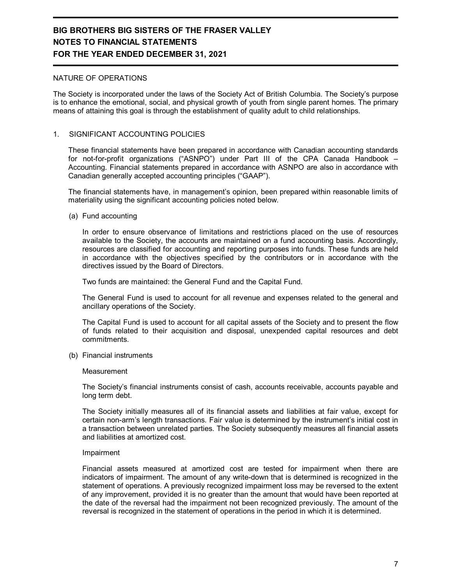### NATURE OF OPERATIONS

The Society is incorporated under the laws of the Society Act of British Columbia. The Society's purpose is to enhance the emotional, social, and physical growth of youth from single parent homes. The primary means of attaining this goal is through the establishment of quality adult to child relationships.

## 1. SIGNIFICANT ACCOUNTING POLICIES

These financial statements have been prepared in accordance with Canadian accounting standards for not-for-profit organizations ("ASNPO") under Part III of the CPA Canada Handbook – Accounting. Financial statements prepared in accordance with ASNPO are also in accordance with Canadian generally accepted accounting principles ("GAAP").

The financial statements have, in management's opinion, been prepared within reasonable limits of materiality using the significant accounting policies noted below.

(a) Fund accounting

In order to ensure observance of limitations and restrictions placed on the use of resources available to the Society, the accounts are maintained on a fund accounting basis. Accordingly, resources are classified for accounting and reporting purposes into funds. These funds are held in accordance with the objectives specified by the contributors or in accordance with the directives issued by the Board of Directors.

Two funds are maintained: the General Fund and the Capital Fund.

The General Fund is used to account for all revenue and expenses related to the general and ancillary operations of the Society.

The Capital Fund is used to account for all capital assets of the Society and to present the flow of funds related to their acquisition and disposal, unexpended capital resources and debt commitments.

(b) Financial instruments

### **Measurement**

The Society's financial instruments consist of cash, accounts receivable, accounts payable and long term debt.

The Society initially measures all of its financial assets and liabilities at fair value, except for certain non-arm's length transactions. Fair value is determined by the instrument's initial cost in a transaction between unrelated parties. The Society subsequently measures all financial assets and liabilities at amortized cost.

### Impairment

Financial assets measured at amortized cost are tested for impairment when there are indicators of impairment. The amount of any write-down that is determined is recognized in the statement of operations. A previously recognized impairment loss may be reversed to the extent of any improvement, provided it is no greater than the amount that would have been reported at the date of the reversal had the impairment not been recognized previously. The amount of the reversal is recognized in the statement of operations in the period in which it is determined.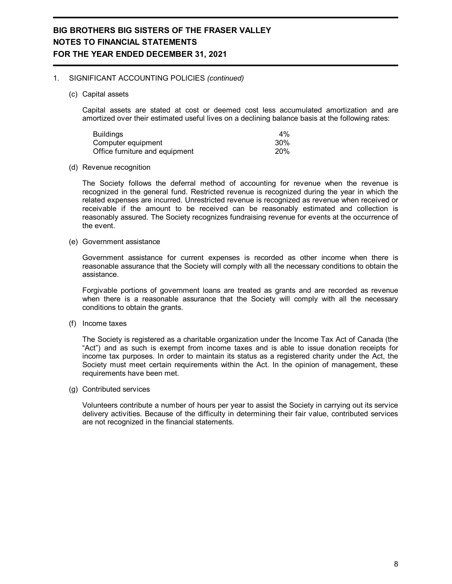### 1. SIGNIFICANT ACCOUNTING POLICIES *(continued)*

(c) Capital assets

Capital assets are stated at cost or deemed cost less accumulated amortization and are amortized over their estimated useful lives on a declining balance basis at the following rates:

| <b>Buildings</b>               | $4\%$  |
|--------------------------------|--------|
| Computer equipment             | $30\%$ |
| Office furniture and equipment | 20%    |

#### (d) Revenue recognition

The Society follows the deferral method of accounting for revenue when the revenue is recognized in the general fund. Restricted revenue is recognized during the year in which the related expenses are incurred. Unrestricted revenue is recognized as revenue when received or receivable if the amount to be received can be reasonably estimated and collection is reasonably assured. The Society recognizes fundraising revenue for events at the occurrence of the event.

(e) Government assistance

Government assistance for current expenses is recorded as other income when there is reasonable assurance that the Society will comply with all the necessary conditions to obtain the assistance.

Forgivable portions of government loans are treated as grants and are recorded as revenue when there is a reasonable assurance that the Society will comply with all the necessary conditions to obtain the grants.

(f) Income taxes

The Society is registered as a charitable organization under the Income Tax Act of Canada (the "Act") and as such is exempt from income taxes and is able to issue donation receipts for income tax purposes. In order to maintain its status as a registered charity under the Act, the Society must meet certain requirements within the Act. In the opinion of management, these requirements have been met.

(g) Contributed services

Volunteers contribute a number of hours per year to assist the Society in carrying out its service delivery activities. Because of the difficulty in determining their fair value, contributed services are not recognized in the financial statements.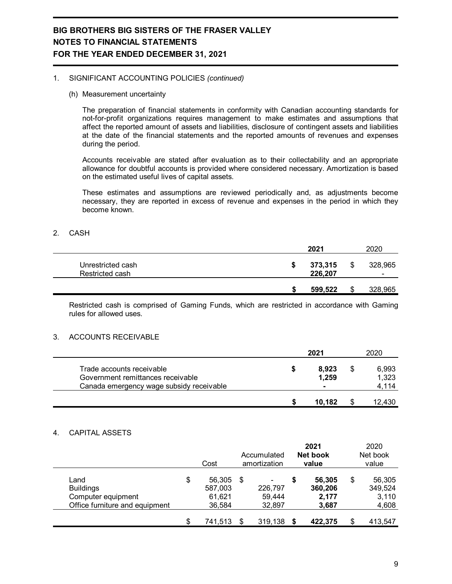### 1. SIGNIFICANT ACCOUNTING POLICIES *(continued)*

(h) Measurement uncertainty

The preparation of financial statements in conformity with Canadian accounting standards for not-for-profit organizations requires management to make estimates and assumptions that affect the reported amount of assets and liabilities, disclosure of contingent assets and liabilities at the date of the financial statements and the reported amounts of revenues and expenses during the period.

Accounts receivable are stated after evaluation as to their collectability and an appropriate allowance for doubtful accounts is provided where considered necessary. Amortization is based on the estimated useful lives of capital assets.

These estimates and assumptions are reviewed periodically and, as adjustments become necessary, they are reported in excess of revenue and expenses in the period in which they become known.

### 2. CASH

|                                      | 2021               |   | 2020              |
|--------------------------------------|--------------------|---|-------------------|
| Unrestricted cash<br>Restricted cash | 373,315<br>226,207 | S | 328,965<br>$\sim$ |
|                                      | 599,522            | S | 328,965           |

Restricted cash is comprised of Gaming Funds, which are restricted in accordance with Gaming rules for allowed uses.

### 3. ACCOUNTS RECEIVABLE

|                                                                                                            | 2021           | 2020                    |
|------------------------------------------------------------------------------------------------------------|----------------|-------------------------|
| Trade accounts receivable<br>Government remittances receivable<br>Canada emergency wage subsidy receivable | 8.923<br>1.259 | 6,993<br>1,323<br>4,114 |
|                                                                                                            | 10.182         | 12,430                  |

### 4. CAPITAL ASSETS

|                                                                                  |     | Cost                                  | Accumulated<br>amortization            | 2021<br><b>Net book</b><br>value          |    | 2020<br>Net book<br>value           |
|----------------------------------------------------------------------------------|-----|---------------------------------------|----------------------------------------|-------------------------------------------|----|-------------------------------------|
| Land<br><b>Buildings</b><br>Computer equipment<br>Office furniture and equipment | \$  | 56,305<br>587,003<br>61,621<br>36,584 | \$<br>۰<br>226,797<br>59,444<br>32,897 | \$<br>56,305<br>360,206<br>2,177<br>3,687 | \$ | 56,305<br>349,524<br>3,110<br>4,608 |
|                                                                                  | \$. | 741,513                               | \$<br>319,138 \$                       | 422,375                                   | S  | 413,547                             |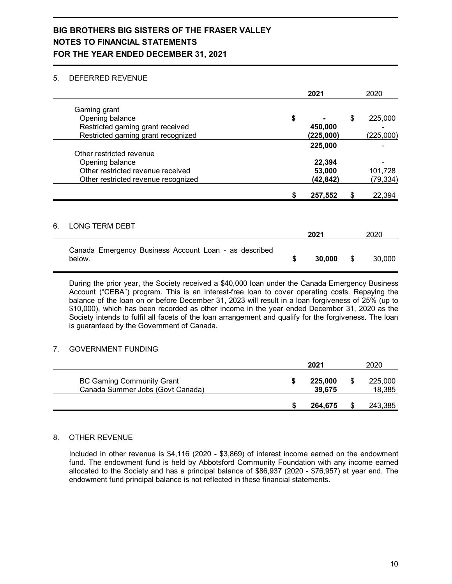## 5. DEFERRED REVENUE

|    |                                                                                                           |                                                               | 2021             | 2020                       |
|----|-----------------------------------------------------------------------------------------------------------|---------------------------------------------------------------|------------------|----------------------------|
|    | Gaming grant<br>Opening balance<br>Restricted gaming grant received<br>Restricted gaming grant recognized | \$                                                            | 450,000          | \$<br>225,000<br>(225,000) |
|    | Other restricted revenue                                                                                  |                                                               | 225,000          |                            |
|    | Opening balance<br>Other restricted revenue received<br>Other restricted revenue recognized               |                                                               | 22,394<br>53,000 | 101,728<br>(79, 334)       |
|    |                                                                                                           | (225,000)<br>(42,842)<br>257,552<br>S<br>2021<br>30,000<br>\$ | \$<br>22,394     |                            |
|    |                                                                                                           |                                                               |                  |                            |
| 6. | <b>LONG TERM DEBT</b>                                                                                     |                                                               |                  | 2020                       |
|    | Canada Emergency Business Account Loan - as described<br>below.                                           |                                                               |                  | \$<br>30,000               |

During the prior year, the Society received a \$40,000 loan under the Canada Emergency Business Account ("CEBA") program. This is an interest-free loan to cover operating costs. Repaying the balance of the loan on or before December 31, 2023 will result in a loan forgiveness of 25% (up to \$10,000), which has been recorded as other income in the year ended December 31, 2020 as the Society intends to fulfil all facets of the loan arrangement and qualify for the forgiveness. The loan is guaranteed by the Government of Canada.

## 7. GOVERNMENT FUNDING

|                                                                      | 2021              | 2020              |
|----------------------------------------------------------------------|-------------------|-------------------|
| <b>BC Gaming Community Grant</b><br>Canada Summer Jobs (Govt Canada) | 225,000<br>39,675 | 225,000<br>18,385 |
|                                                                      | 264.675           | 243,385           |

## 8. OTHER REVENUE

Included in other revenue is \$4,116 (2020 - \$3,869) of interest income earned on the endowment fund. The endowment fund is held by Abbotsford Community Foundation with any income earned allocated to the Society and has a principal balance of \$86,937 (2020 - \$76,957) at year end. The endowment fund principal balance is not reflected in these financial statements.